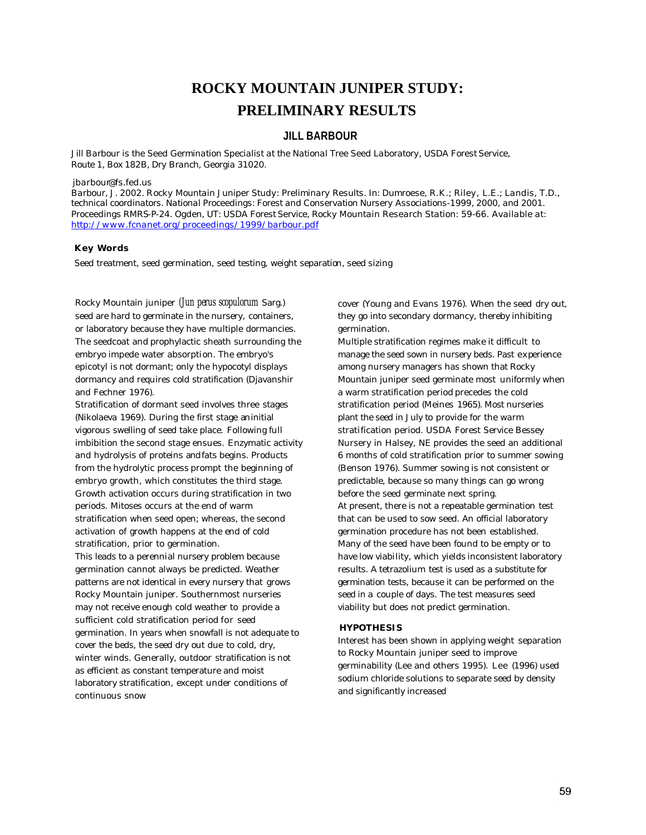# **ROCKY MOUNTAIN JUNIPER STUDY: PRELIMINARY RESULTS**

# **JILL BARBOUR**

*Jill Barbour is the Seed Germination Specialist at the National Tree Seed Laboratory, USDA Forest Service, Route 1, Box 182B, Dry Branch, Georgia 31020.*

#### *jbarbour@fs.fed.us*

*Barbour, J. 2002. Rocky Mountain Juniper Study: Preliminary Results. In: Dumroese, R.K.; Riley, L.E.; Landis, T.D., technical coordinators. National Proceedings: Forest and Conservation Nursery Associations-1999, 2000, and 2001. Proceedings RMRS-P-24. Ogden, UT: USDA Forest Service, Rocky Mountain Research Station: 59-66. Available at: http://www.fcnanet.org/proceedings/1999/barbour.pdf*

#### **Key Words**

Seed treatment, seed germination, seed testing, weight separation, seed sizing

Rocky Mountain juniper *(Jun perus scopulorum* Sarg.) seed are hard to germinate in the nursery, containers, or laboratory because they have multiple dormancies. The seedcoat and prophylactic sheath surrounding the embryo impede water absorption. The embryo's epicotyl is not dormant; only the hypocotyl displays dormancy and requires cold stratification (Djavanshir and Fechner 1976).

Stratification of dormant seed involves three stages (Nikolaeva 1969). During the first stage an initial vigorous swelling of seed take place. Following full imbibition the second stage ensues. Enzymatic activity and hydrolysis of proteins and fats begins. Products from the hydrolytic process prompt the beginning of embryo growth, which constitutes the third stage. Growth activation occurs during stratification in two periods. Mitoses occurs at the end of warm stratification when seed open; whereas, the second activation of growth happens at the end of cold stratification, prior to germination. This leads to a perennial nursery problem because germination cannot always be predicted. Weather patterns are not identical in every nursery that grows Rocky Mountain juniper. Southernmost nurseries may not receive enough cold weather to provide a sufficient cold stratification period for seed germination. In years when snowfall is not adequate to cover the beds, the seed dry out due to cold, dry, winter winds. Generally, outdoor stratification is not as efficient as constant temperature and moist laboratory stratification, except under conditions of continuous snow

cover (Young and Evans 1976). When the seed dry out, they go into secondary dormancy, thereby inhibiting germination.

Multiple stratification regimes make it difficult to manage the seed sown in nursery beds. Past experience among nursery managers has shown that Rocky Mountain juniper seed germinate most uniformly when a warm stratification period precedes the cold stratification period (Meines 1965). Most nurseries plant the seed in July to provide for the warm stratification period. USDA Forest Service Bessey Nursery in Halsey, NE provides the seed an additional 6 months of cold stratification prior to summer sowing (Benson 1976). Summer sowing is not consistent or predictable, because so many things can go wrong before the seed germinate next spring. At present, there is not a repeatable germination test that can be used to sow seed. An official laboratory germination procedure has not been established. Many of the seed have been found to be empty or to have low viability, which yields inconsistent laboratory results. A tetrazolium test is used as a substitute for germination tests, because it can be performed on the seed in a couple of days. The test measures seed viability but does not predict germination.

#### **HYPOTHESIS**

Interest has been shown in applying weight separation to Rocky Mountain juniper seed to improve germinability (Lee and others 1995). Lee (1996) used sodium chloride solutions to separate seed by density and significantly increased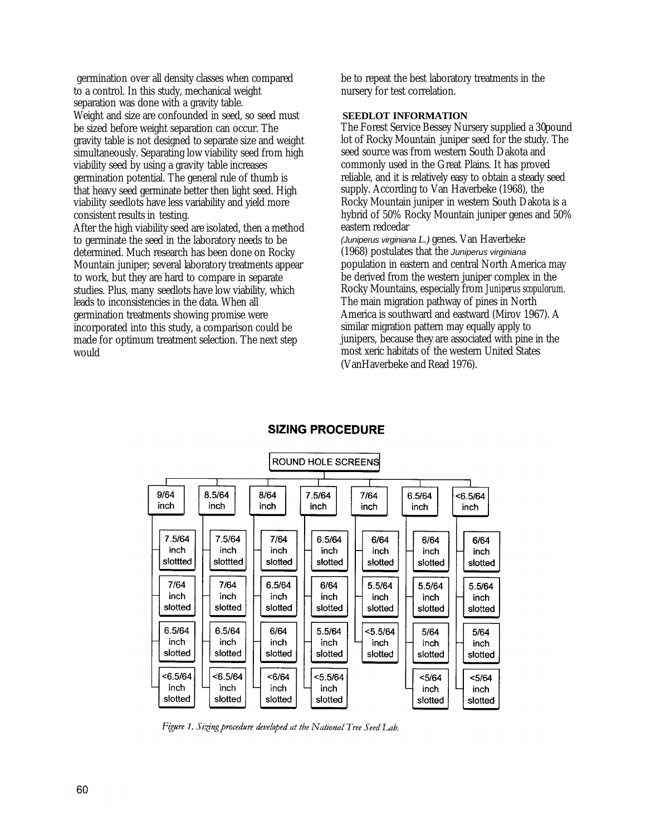germination over all density classes when compared to a control. In this study, mechanical weight separation was done with a gravity table. Weight and size are confounded in seed, so seed must be sized before weight separation can occur. The gravity table is not designed to separate size and weight simultaneously. Separating low viability seed from high viability seed by using a gravity table increases germination potential. The general rule of thumb is that heavy seed germinate better then light seed. High viability seedlots have less variability and yield more consistent results in testing. After the high viability seed are isolated, then a method to germinate the seed in the laboratory needs to be determined. Much research has been done on Rocky Mountain juniper; several laboratory treatments appear to work, but they are hard to compare in separate studies. Plus, many seedlots have low viability, which leads to inconsistencies in the data. When all germination treatments showing promise were incorporated into this study, a comparison could be made for optimum treatment selection. The next step would

be to repeat the best laboratory treatments in the nursery for test correlation.

# **SEEDLOT INFORMATION**

The Forest Service Bessey Nursery supplied a 30pound lot of Rocky Mountain juniper seed for the study. The seed source was from western South Dakota and commonly used in the Great Plains. It has proved reliable, and it is relatively easy to obtain a steady seed supply. According to Van Haverbeke (1968), the Rocky Mountain juniper in western South Dakota is a hybrid of 50% Rocky Mountain juniper genes and 50% eastern redcedar

*(Juniperus virginiana L.)* genes. Van Haverbeke (1968) postulates that the *Juniperus virginiana* population in eastern and central North America may be derived from the western juniper complex in the Rocky Mountains, especially from *Juniperus scopulorum.*  The main migration pathway of pines in North America is southward and eastward (Mirov 1967). A similar migration pattern may equally apply to junipers, because they are associated with pine in the most xeric habitats of the western United States (VanHaverbeke and Read 1976).



# **SIZING PROCEDURE**

Figure 1. Sizing procedure developed at the National Tree Seed Lab.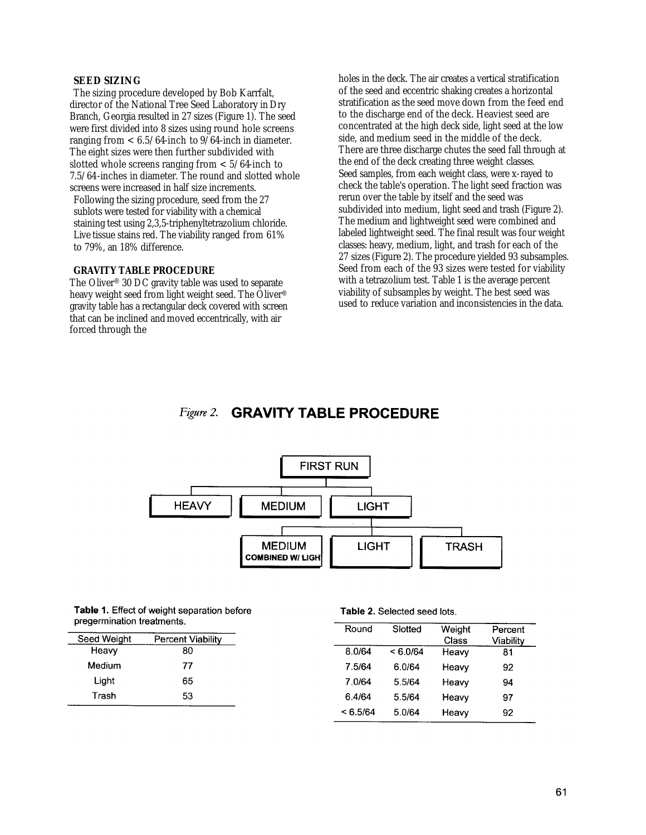### **SEED SIZING**

The sizing procedure developed by Bob Karrfalt, director of the National Tree Seed Laboratory in Dry Branch, Georgia resulted in 27 sizes (Figure 1). The seed were first divided into 8 sizes using round hole screens ranging from  $< 6.5/64$ -inch to 9/64-inch in diameter. The eight sizes were then further subdivided with slotted whole screens ranging from  $< 5/64$ -inch to 7.5/64-inches in diameter. The round and slotted whole screens were increased in half size increments.

Following the sizing procedure, seed from the 27 sublots were tested for viability with a chemical staining test using 2,3,5-triphenyltetrazolium chloride. Live tissue stains red. The viability ranged from 61% to 79%, an 18% difference.

#### **GRAVITY TABLE PROCEDURE**

The Oliver® 30 DC gravity table was used to separate heavy weight seed from light weight seed. The Oliver® gravity table has a rectangular deck covered with screen that can be inclined and moved eccentrically, with air forced through the

holes in the deck. The air creates a vertical stratification of the seed and eccentric shaking creates a horizontal stratification as the seed move down from the feed end to the discharge end of the deck. Heaviest seed are concentrated at the high deck side, light seed at the low side, and medium seed in the middle of the deck. There are three discharge chutes the seed fall through at the end of the deck creating three weight classes. Seed samples, from each weight class, were x-rayed to check the table's operation. The light seed fraction was rerun over the table by itself and the seed was subdivided into medium, light seed and trash (Figure 2). The medium and lightweight seed were combined and labeled lightweight seed. The final result was four weight classes: heavy, medium, light, and trash for each of the 27 sizes (Figure 2). The procedure yielded 93 subsamples. Seed from each of the 93 sizes were tested for viability with a tetrazolium test. Table 1 is the average percent viability of subsamples by weight. The best seed was used to reduce variation and inconsistencies in the data.

#### Figure 2. **GRAVITY TABLE PROCEDURE**



Table 1. Effect of weight separation before pregermination treatments.

| Seed Weight | <b>Percent Viability</b> |
|-------------|--------------------------|
| Heavy       | 80                       |
| Medium      | 77                       |
| Light       | 65                       |
| Trash       | 53                       |

Table 2. Selected seed lots.

| Round    | Slotted  | Weight<br>Class | Percent<br>Viability |
|----------|----------|-----------------|----------------------|
| 8.0/64   | < 6.0/64 | Heavy           | 81                   |
| 7.5/64   | 6.0/64   | Heavy           | 92                   |
| 7.0/64   | 5.5/64   | Heavy           | 94                   |
| 6.4/64   | 5.5/64   | Heavy           | 97                   |
| < 6.5/64 | 5.0/64   | Heavy           | 92                   |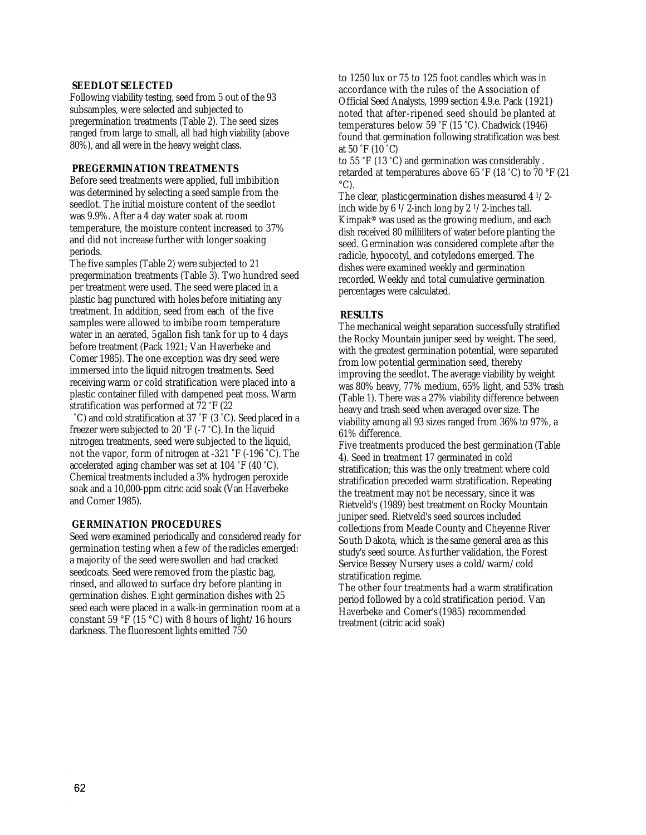#### **SEEDLOT SELECTED**

Following viability testing, seed from 5 out of the 93 subsamples, were selected and subjected to pregermination treatments (Table 2). The seed sizes ranged from large to small, all had high viability (above 80%), and all were in the heavy weight class.

# **PREGERMINATION TREATMENTS**

Before seed treatments were applied, full imbibition was determined by selecting a seed sample from the seedlot. The initial moisture content of the seedlot was 9.9%. After a 4 day water soak at room temperature, the moisture content increased to 37% and did not increase further with longer soaking periods.

The five samples (Table 2) were subjected to 21 pregermination treatments (Table 3). Two hundred seed per treatment were used. The seed were placed in a plastic bag punctured with holes before initiating any treatment. In addition, seed from each of the five samples were allowed to imbibe room temperature water in an aerated, 5gallon fish tank for up to 4 days before treatment (Pack 1921; Van Haverbeke and Comer 1985). The one exception was dry seed were immersed into the liquid nitrogen treatments. Seed receiving warm or cold stratification were placed into a plastic container filled with dampened peat moss. Warm stratification was performed at 72 °F (22

°C) and cold stratification at 37 °F (3 °C). Seed placed in a freezer were subjected to 20 °F (-7 °C). In the liquid nitrogen treatments, seed were subjected to the liquid, not the vapor, form of nitrogen at -321 °F (-196 °C). The accelerated aging chamber was set at 104 °F (40 °C). Chemical treatments included a 3% hydrogen peroxide soak and a 10,000-ppm citric acid soak (Van Haverbeke and Comer 1985).

# **GERMINATION PROCEDURES**

Seed were examined periodically and considered ready for germination testing when a few of the radicles emerged: a majority of the seed were swollen and had cracked seedcoats. Seed were removed from the plastic bag, rinsed, and allowed to surface dry before planting in germination dishes. Eight germination dishes with 25 seed each were placed in a walk-in germination room at a constant 59 °F (15 °C) with 8 hours of light/16 hours darkness. The fluorescent lights emitted 750

to 1250 lux or 75 to 125 foot candles which was in accordance with the rules of the Association of Official Seed Analysts, 1999 section 4.9.e. Pack (1921) noted that after-ripened seed should be planted at temperatures below 59 °F (15 °C). Chadwick (1946) found that germination following stratification was best at 50 °F (10 °C)

to 55 °F (13 °C) and germination was considerably . retarded at temperatures above 65 °F (18 °C) to 70 °F (21  $\mathrm{^{\circ}C}$ ).

The clear, plastic germination dishes measured 4 1/2 inch wide by  $6 \frac{1}{2}$ -inch long by  $2 \frac{1}{2}$ -inches tall. Kimpak® was used as the growing medium, and each dish received 80 milliliters of water before planting the seed. Germination was considered complete after the radicle, hypocotyl, and cotyledons emerged. The dishes were examined weekly and germination recorded. Weekly and total cumulative germination percentages were calculated.

# **RESULTS**

The mechanical weight separation successfully stratified the Rocky Mountain juniper seed by weight. The seed, with the greatest germination potential, were separated from low potential germination seed, thereby improving the seedlot. The average viability by weight was 80% heavy, 77% medium, 65% light, and 53% trash (Table 1). There was a 27% viability difference between heavy and trash seed when averaged over size. The viability among all 93 sizes ranged from 36% to 97%, a 61% difference.

Five treatments produced the best germination (Table 4). Seed in treatment 17 germinated in cold stratification; this was the only treatment where cold stratification preceded warm stratification. Repeating the treatment may not be necessary, since it was Rietveld's (1989) best treatment on Rocky Mountain juniper seed. Rietveld's seed sources included collections from Meade County and Cheyenne River South Dakota, which is the same general area as this study's seed source. As further validation, the Forest Service Bessey Nursery uses a cold/warm/cold stratification regime.

The other four treatments had a warm stratification period followed by a cold stratification period. Van Haverbeke and Comer's (1985) recommended treatment (citric acid soak)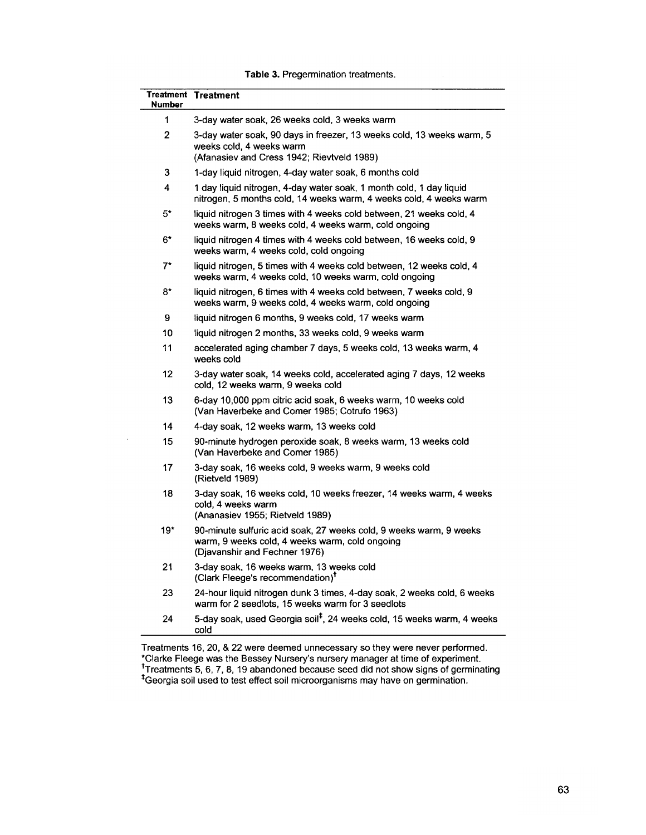| Table 3. Pregermination treatments. |  |
|-------------------------------------|--|
|-------------------------------------|--|

| <b>Number</b> | <b>Treatment Treatment</b>                                                                                                                            |
|---------------|-------------------------------------------------------------------------------------------------------------------------------------------------------|
| 1             | 3-day water soak, 26 weeks cold, 3 weeks warm                                                                                                         |
| 2             | 3-day water soak, 90 days in freezer, 13 weeks cold, 13 weeks warm, 5<br>weeks cold, 4 weeks warm<br>(Afanasiev and Cress 1942; Rievtveld 1989)       |
| 3             | 1-day liquid nitrogen, 4-day water soak, 6 months cold                                                                                                |
| 4             | 1 day liquid nitrogen, 4-day water soak, 1 month cold, 1 day liquid<br>nitrogen, 5 months cold, 14 weeks warm, 4 weeks cold, 4 weeks warm             |
| 5*            | liquid nitrogen 3 times with 4 weeks cold between, 21 weeks cold, 4<br>weeks warm, 8 weeks cold, 4 weeks warm, cold ongoing                           |
| 6*            | liquid nitrogen 4 times with 4 weeks cold between, 16 weeks cold, 9<br>weeks warm, 4 weeks cold, cold ongoing                                         |
| $7^{\star}$   | liquid nitrogen, 5 times with 4 weeks cold between, 12 weeks cold, 4<br>weeks warm, 4 weeks cold, 10 weeks warm, cold ongoing                         |
| 8*            | liquid nitrogen, 6 times with 4 weeks cold between, 7 weeks cold, 9<br>weeks warm, 9 weeks cold, 4 weeks warm, cold ongoing                           |
| 9             | liquid nitrogen 6 months, 9 weeks cold, 17 weeks warm                                                                                                 |
| 10            | liquid nitrogen 2 months, 33 weeks cold, 9 weeks warm                                                                                                 |
| 11            | accelerated aging chamber 7 days, 5 weeks cold, 13 weeks warm, 4<br>weeks cold                                                                        |
| 12            | 3-day water soak, 14 weeks cold, accelerated aging 7 days, 12 weeks<br>cold, 12 weeks warm, 9 weeks cold                                              |
| 13            | 6-day 10,000 ppm citric acid soak, 6 weeks warm, 10 weeks cold<br>(Van Haverbeke and Comer 1985; Cotrufo 1963)                                        |
| 14            | 4-day soak, 12 weeks warm, 13 weeks cold                                                                                                              |
| 15            | 90-minute hydrogen peroxide soak, 8 weeks warm, 13 weeks cold<br>(Van Haverbeke and Comer 1985)                                                       |
| 17            | 3-day soak, 16 weeks cold, 9 weeks warm, 9 weeks cold<br>(Rietveld 1989)                                                                              |
| 18            | 3-day soak, 16 weeks cold, 10 weeks freezer, 14 weeks warm, 4 weeks<br>cold, 4 weeks warm<br>(Ananasiev 1955; Rietveld 1989)                          |
| 19*           | 90-minute sulfuric acid soak, 27 weeks cold, 9 weeks warm, 9 weeks<br>warm, 9 weeks cold, 4 weeks warm, cold ongoing<br>(Djavanshir and Fechner 1976) |
| 21            | 3-day soak, 16 weeks warm, 13 weeks cold<br>(Clark Fleege's recommendation) <sup>T</sup>                                                              |
| 23            | 24-hour liquid nitrogen dunk 3 times, 4-day soak, 2 weeks cold, 6 weeks<br>warm for 2 seedlots, 15 weeks warm for 3 seedlots                          |
| 24            | 5-day soak, used Georgia soil <sup>‡</sup> , 24 weeks cold, 15 weeks warm, 4 weeks<br>cold                                                            |

 $\bar{A}$ 

 $\overline{a}$ 

Treatments 16, 20, & 22 were deemed unnecessary so they were never performed.<br>\*Clarke Fleege was the Bessey Nursery's nursery manager at time of experiment.<br>\*Treatments 5, 6, 7, 8, 19 abandoned because seed did not show si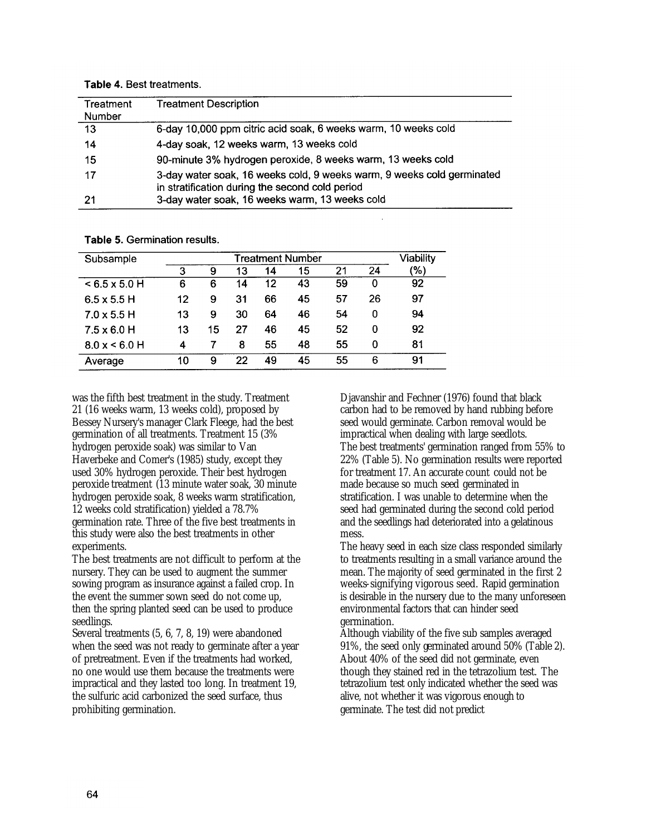| Treatment<br><b>Number</b> | <b>Treatment Description</b>                                                                                              |
|----------------------------|---------------------------------------------------------------------------------------------------------------------------|
| 13                         | 6-day 10,000 ppm citric acid soak, 6 weeks warm, 10 weeks cold                                                            |
| 14                         | 4-day soak, 12 weeks warm, 13 weeks cold                                                                                  |
| 15                         | 90-minute 3% hydrogen peroxide, 8 weeks warm, 13 weeks cold                                                               |
| 17                         | 3-day water soak, 16 weeks cold, 9 weeks warm, 9 weeks cold germinated<br>in stratification during the second cold period |
| 21                         | 3-day water soak, 16 weeks warm, 13 weeks cold                                                                            |

Table 4. Best treatments.

| Subsample            | Treatment Number |    |    |    |    | Viability |    |     |
|----------------------|------------------|----|----|----|----|-----------|----|-----|
|                      | 3                | 9  | 13 | 14 | 15 | 21        | 24 | '%) |
| $< 6.5 \times 5.0$ H | 6                | 6  | 14 | 12 | 43 | 59        | 0  | 92  |
| $6.5 \times 5.5$ H   | 12               | 9  | 31 | 66 | 45 | 57        | 26 | 97  |
| $7.0 \times 5.5$ H   | 13               | 9  | 30 | 64 | 46 | 54        | 0  | 94  |
| $7.5 \times 6.0$ H   | 13               | 15 | 27 | 46 | 45 | 52        | 0  | 92  |
| 8.0 x < 6.0 H        | 4                |    | 8  | 55 | 48 | 55        | 0  | 81  |
| Average              | 10               | 9  | 22 | 49 | 45 | 55        | 6  | 91  |

Table 5. Germination results.

was the fifth best treatment in the study. Treatment 21 (16 weeks warm, 13 weeks cold), proposed by Bessey Nursery's manager Clark Fleege, had the best germination of all treatments. Treatment 15 (3% hydrogen peroxide soak) was similar to Van Haverbeke and Comer's (1985) study, except they used 30% hydrogen peroxide. Their best hydrogen peroxide treatment (13 minute water soak, 30 minute hydrogen peroxide soak, 8 weeks warm stratification, 12 weeks cold stratification) yielded a 78.7% germination rate. Three of the five best treatments in this study were also the best treatments in other experiments.

The best treatments are not difficult to perform at the nursery. They can be used to augment the summer sowing program as insurance against a failed crop. In the event the summer sown seed do not come up, then the spring planted seed can be used to produce seedlings.

Several treatments (5, 6, 7, 8, 19) were abandoned when the seed was not ready to germinate after a year of pretreatment. Even if the treatments had worked, no one would use them because the treatments were impractical and they lasted too long. In treatment 19, the sulfuric acid carbonized the seed surface, thus prohibiting germination.

Djavanshir and Fechner (1976) found that black carbon had to be removed by hand rubbing before seed would germinate. Carbon removal would be impractical when dealing with large seedlots. The best treatments' germination ranged from 55% to 22% (Table 5). No germination results were reported for treatment 17. An accurate count could not be made because so much seed germinated in stratification. I was unable to determine when the seed had germinated during the second cold period and the seedlings had deteriorated into a gelatinous mess.

The heavy seed in each size class responded similarly to treatments resulting in a small variance around the mean. The majority of seed germinated in the first 2 weeks-signifying vigorous seed. Rapid germination is desirable in the nursery due to the many unforeseen environmental factors that can hinder seed germination.

Although viability of the five sub samples averaged 91%, the seed only germinated around 50% (Table 2). About 40% of the seed did not germinate, even though they stained red in the tetrazolium test. The tetrazolium test only indicated whether the seed was alive, not whether it was vigorous enough to germinate. The test did not predict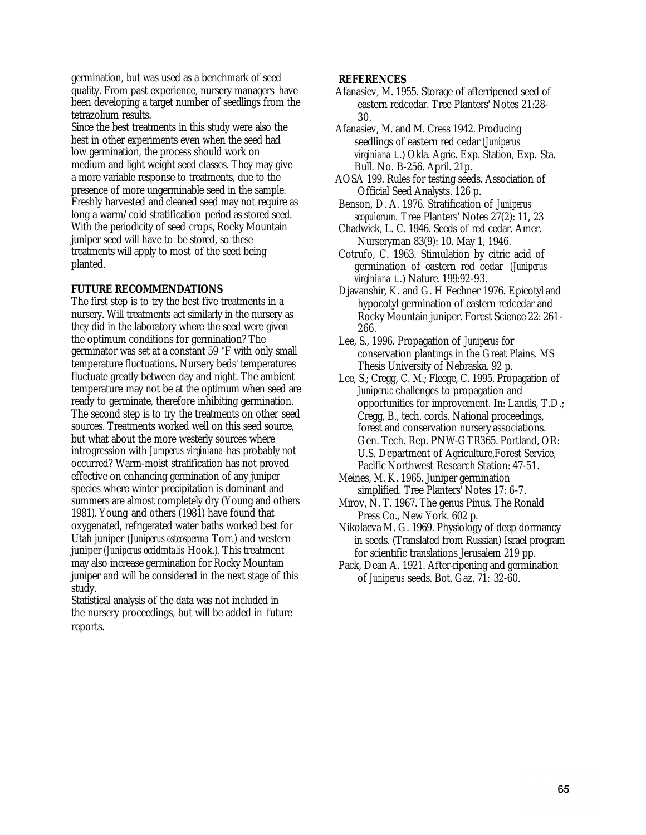germination, but was used as a benchmark of seed quality. From past experience, nursery managers have been developing a target number of seedlings from the tetrazolium results.

Since the best treatments in this study were also the best in other experiments even when the seed had low germination, the process should work on medium and light weight seed classes. They may give a more variable response to treatments, due to the presence of more ungerminable seed in the sample. Freshly harvested and cleaned seed may not require as long a warm/cold stratification period as stored seed. With the periodicity of seed crops, Rocky Mountain juniper seed will have to be stored, so these treatments will apply to most of the seed being planted.

# **FUTURE RECOMMENDATIONS**

The first step is to try the best five treatments in a nursery. Will treatments act similarly in the nursery as they did in the laboratory where the seed were given the optimum conditions for germination? The germinator was set at a constant 59 °F with only small temperature fluctuations. Nursery beds' temperatures fluctuate greatly between day and night. The ambient temperature may not be at the optimum when seed are ready to germinate, therefore inhibiting germination. The second step is to try the treatments on other seed sources. Treatments worked well on this seed source, but what about the more westerly sources where introgression with *Jumperus virginiana* has probably not occurred? Warm-moist stratification has not proved effective on enhancing germination of any juniper species where winter precipitation is dominant and summers are almost completely dry (Young and others 1981). Young and others (1981) have found that oxygenated, refrigerated water baths worked best for Utah juniper *(Juniperus osteosperma* Torr.) and western juniper *(Juniperus occidentalis* Hook.). This treatment may also increase germination for Rocky Mountain juniper and will be considered in the next stage of this study.

Statistical analysis of the data was not included in the nursery proceedings, but will be added in future reports.

### **REFERENCES**

Afanasiev, M. 1955. Storage of afterripened seed of eastern redcedar. Tree Planters' Notes 21:28- 30.

Afanasiev, M. and M. Cress 1942. Producing seedlings of eastern red cedar *(Juniperus virginiana L.)* Okla. Agric. Exp. Station, Exp. Sta. Bull. No. B-256. April. 21p.

AOSA 199. Rules for testing seeds. Association of Official Seed Analysts. 126 p.

- Benson, D. A. 1976. Stratification of *Juniperus scopulorum.* Tree Planters' Notes 27(2): 11, 23
- Chadwick, L. C. 1946. Seeds of red cedar. Amer. Nurseryman 83(9): 10. May 1, 1946.
- Cotrufo, C. 1963. Stimulation by citric acid of germination of eastern red cedar *(Juniperus virginiana L.)* Nature. 199:92-93.
- Djavanshir, K. and G. H Fechner 1976. Epicotyl and hypocotyl germination of eastern redcedar and Rocky Mountain juniper. Forest Science 22: 261- 266.
- Lee, S., 1996. Propagation of *Juniperus* for conservation plantings in the Great Plains. MS Thesis University of Nebraska. 92 p.
- Lee, S.; Cregg, C. M.; Fleege, C. 1995. Propagation of *Juniperuc* challenges to propagation and opportunities for improvement. In: Landis, T.D.; Cregg, B., tech. cords. National proceedings, forest and conservation nursery associations. Gen. Tech. Rep. PNW-GTR365. Portland, OR: U.S. Department of Agriculture,Forest Service, Pacific Northwest Research Station: 47-51.
- Meines, M. K. 1965. Juniper germination simplified. Tree Planters' Notes 17: 6-7.
- Mirov, N. T. 1967. The genus Pinus. The Ronald Press Co., New York. 602 p.
- Nikolaeva M. G. 1969. Physiology of deep dormancy in seeds. (Translated from Russian) Israel program for scientific translations Jerusalem 219 pp.
- Pack, Dean A. 1921. After-ripening and germination of *Juniperus* seeds. Bot. Gaz. 71: 32-60.